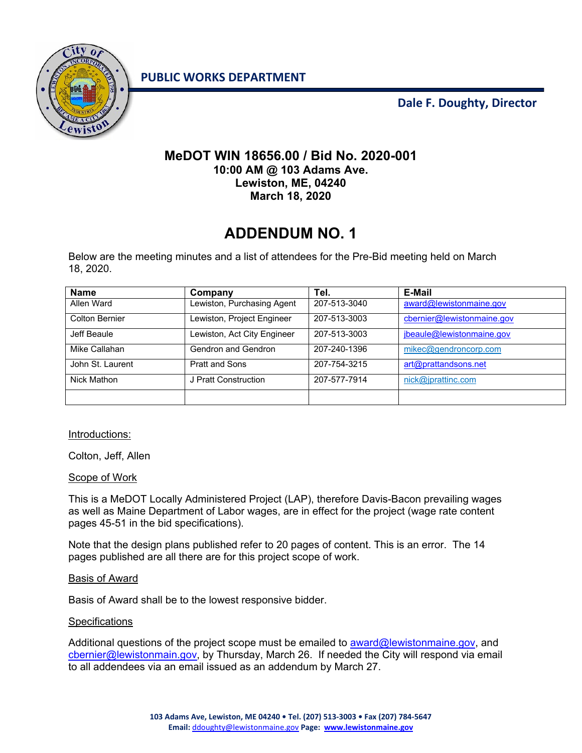ewiston

**PUBLIC WORKS DEPARTMENT**

**Dale F. Doughty, Director**

## **MeDOT WIN 18656.00 / Bid No. 2020-001 10:00 AM @ 103 Adams Ave. Lewiston, ME, 04240 March 18, 2020**

## **ADDENDUM NO. 1**

Below are the meeting minutes and a list of attendees for the Pre-Bid meeting held on March 18, 2020.

| <b>Name</b>           | Company                     | Tel.         | <b>E-Mail</b>              |
|-----------------------|-----------------------------|--------------|----------------------------|
| Allen Ward            | Lewiston, Purchasing Agent  | 207-513-3040 | award@lewistonmaine.gov    |
| <b>Colton Bernier</b> | Lewiston, Project Engineer  | 207-513-3003 | cbernier@lewistonmaine.gov |
| Jeff Beaule           | Lewiston, Act City Engineer | 207-513-3003 | jbeaule@lewistonmaine.gov  |
| Mike Callahan         | Gendron and Gendron         | 207-240-1396 | mikec@gendroncorp.com      |
| John St. Laurent      | <b>Pratt and Sons</b>       | 207-754-3215 | art@prattandsons.net       |
| Nick Mathon           | J Pratt Construction        | 207-577-7914 | nick@jprattinc.com         |
|                       |                             |              |                            |

Introductions:

Colton, Jeff, Allen

Scope of Work

This is a MeDOT Locally Administered Project (LAP), therefore Davis-Bacon prevailing wages as well as Maine Department of Labor wages, are in effect for the project (wage rate content pages 45-51 in the bid specifications).

Note that the design plans published refer to 20 pages of content. This is an error. The 14 pages published are all there are for this project scope of work.

Basis of Award

Basis of Award shall be to the lowest responsive bidder.

## **Specifications**

Additional questions of the project scope must be emailed to **award@lewistonmaine.gov**, and cbernier@lewistonmain.gov, by Thursday, March 26. If needed the City will respond via email to all addendees via an email issued as an addendum by March 27.